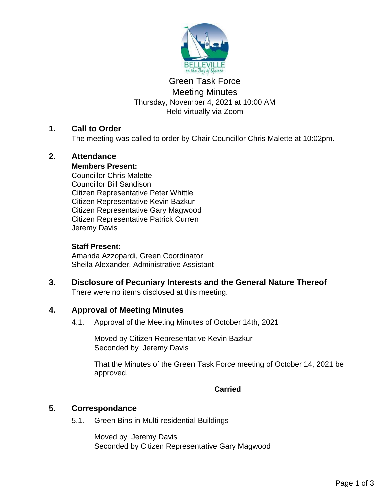

# Green Task Force Meeting Minutes Thursday, November 4, 2021 at 10:00 AM Held virtually via Zoom

# **1. Call to Order**

The meeting was called to order by Chair Councillor Chris Malette at 10:02pm.

# **2. Attendance**

### **Members Present:**

Councillor Chris Malette Councillor Bill Sandison Citizen Representative Peter Whittle Citizen Representative Kevin Bazkur Citizen Representative Gary Magwood Citizen Representative Patrick Curren Jeremy Davis

# **Staff Present:**

Amanda Azzopardi, Green Coordinator Sheila Alexander, Administrative Assistant

### **3. Disclosure of Pecuniary Interests and the General Nature Thereof** There were no items disclosed at this meeting.

# **4. Approval of Meeting Minutes**

4.1. Approval of the Meeting Minutes of October 14th, 2021

Moved by Citizen Representative Kevin Bazkur Seconded by Jeremy Davis

That the Minutes of the Green Task Force meeting of October 14, 2021 be approved.

**Carried**

# **5. Correspondance**

5.1. Green Bins in Multi-residential Buildings

Moved by Jeremy Davis Seconded by Citizen Representative Gary Magwood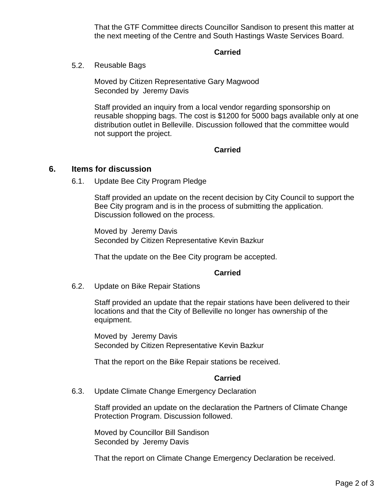That the GTF Committee directs Councillor Sandison to present this matter at the next meeting of the Centre and South Hastings Waste Services Board.

#### **Carried**

5.2. Reusable Bags

Moved by Citizen Representative Gary Magwood Seconded by Jeremy Davis

Staff provided an inquiry from a local vendor regarding sponsorship on reusable shopping bags. The cost is \$1200 for 5000 bags available only at one distribution outlet in Belleville. Discussion followed that the committee would not support the project.

#### **Carried**

#### **6. Items for discussion**

6.1. Update Bee City Program Pledge

Staff provided an update on the recent decision by City Council to support the Bee City program and is in the process of submitting the application. Discussion followed on the process.

Moved by Jeremy Davis Seconded by Citizen Representative Kevin Bazkur

That the update on the Bee City program be accepted.

#### **Carried**

6.2. Update on Bike Repair Stations

Staff provided an update that the repair stations have been delivered to their locations and that the City of Belleville no longer has ownership of the equipment.

Moved by Jeremy Davis Seconded by Citizen Representative Kevin Bazkur

That the report on the Bike Repair stations be received.

### **Carried**

6.3. Update Climate Change Emergency Declaration

Staff provided an update on the declaration the Partners of Climate Change Protection Program. Discussion followed.

Moved by Councillor Bill Sandison Seconded by Jeremy Davis

That the report on Climate Change Emergency Declaration be received.